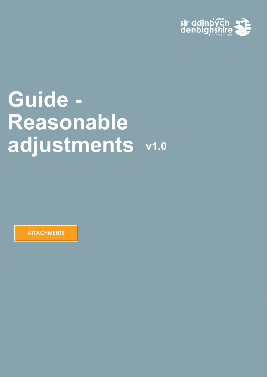

# **Guide - Reasonable adjustments v1.0**

**ATTACHMENTS**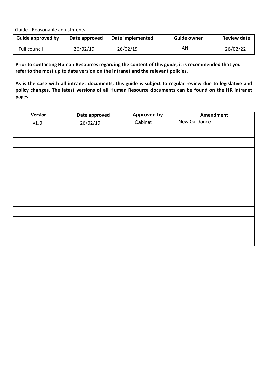Guide - Reasonable adjustments

| Guide approved by | Date approved | Date implemented | Guide owner | <b>Review date</b> |
|-------------------|---------------|------------------|-------------|--------------------|
| Full council      | 26/02/19      | 26/02/19         | AN          | 26/02/22           |

**Prior to contacting Human Resources regarding the content of this guide, it is recommended that you refer to the most up to date version on the intranet and the relevant policies.** 

**As is the case with all intranet documents, this guide is subject to regular review due to legislative and policy changes. The latest versions of all Human Resource documents can be found on the HR intranet pages.**

| Version | Date approved | <b>Approved by</b> | Amendment    |
|---------|---------------|--------------------|--------------|
| v1.0    | 26/02/19      | Cabinet            | New Guidance |
|         |               |                    |              |
|         |               |                    |              |
|         |               |                    |              |
|         |               |                    |              |
|         |               |                    |              |
|         |               |                    |              |
|         |               |                    |              |
|         |               |                    |              |
|         |               |                    |              |
|         |               |                    |              |
|         |               |                    |              |
|         |               |                    |              |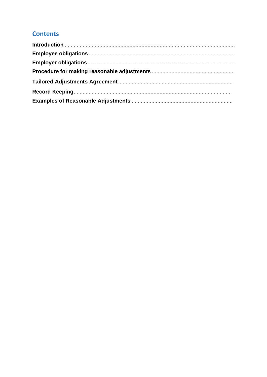# **Contents**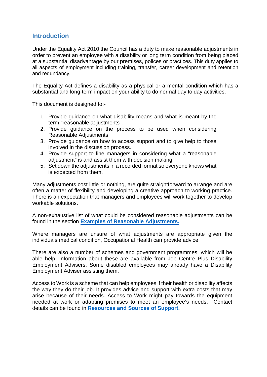# <span id="page-3-0"></span>**Introduction**

Under the Equality Act 2010 the Council has a duty to make reasonable adjustments in order to prevent an employee with a disability or long term condition from being placed at a substantial disadvantage by our premises, polices or practices. This duty applies to all aspects of employment including training, transfer, career development and retention and redundancy.

The Equality Act defines a disability as a physical or a mental condition which has a substantial and long-term impact on your ability to do normal day to day activities.

This document is designed to:-

- 1. Provide guidance on what disability means and what is meant by the term "reasonable adjustments".
- 2. Provide guidance on the process to be used when considering Reasonable Adjustments
- 3. Provide guidance on how to access support and to give help to those involved in the discussion process.
- 4. Provide support to line managers in considering what a "reasonable adjustment" is and assist them with decision making.
- 5. Set down the adjustments in a recorded format so everyone knows what is expected from them.

Many adjustments cost little or nothing, are quite straightforward to arrange and are often a matter of flexibility and developing a creative approach to working practice. There is an expectation that managers and employees will work together to develop workable solutions.

A non-exhaustive list of what could be considered reasonable adjustments can be found in the section **[Examples of Reasonable Adjustments.](#page-9-1)**

Where managers are unsure of what adjustments are appropriate given the individuals medical condition, Occupational Health can provide advice.

There are also a number of schemes and government programmes, which will be able help. Information about these are available from Job Centre Plus Disability Employment Advisers. Some disabled employees may already have a Disability Employment Adviser assisting them.

Access to Work is a scheme that can help employees if their health or disability affects the way they do their job. It provides advice and support with extra costs that may arise because of their needs. Access to Work might pay towards the equipment needed at work or adapting premises to meet an employee's needs. Contact details can be found in **[Resources and Sources of Support.](#page-8-1)**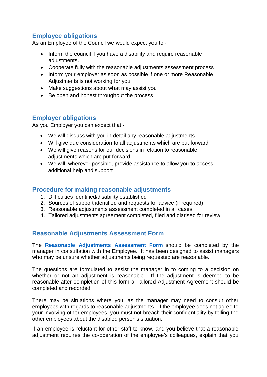# <span id="page-4-0"></span>**Employee obligations**

As an Employee of the Council we would expect you to:-

- Inform the council if you have a disability and require reasonable adjustments.
- Cooperate fully with the reasonable adjustments assessment process
- Inform your employer as soon as possible if one or more Reasonable Adjustments is not working for you
- Make suggestions about what may assist you
- Be open and honest throughout the process

# <span id="page-4-1"></span>**Employer obligations**

As you Employer you can expect that:-

- We will discuss with you in detail any reasonable adjustments
- Will give due consideration to all adjustments which are put forward
- We will give reasons for our decisions in relation to reasonable adjustments which are put forward
- We will, wherever possible, provide assistance to allow you to access additional help and support

# <span id="page-4-2"></span>**Procedure for making reasonable adjustments**

- 1. Difficulties identified/disability established
- 2. Sources of support identified and requests for advice (if required)
- 3. Reasonable adjustments assessment completed in all cases
- 4. Tailored adjustments agreement completed, filed and diarised for review

# **Reasonable Adjustments Assessment Form**

The **Reasonable Adjustments Assessment Form** should be completed by the manager in consultation with the Employee. It has been designed to assist managers who may be unsure whether adjustments being requested are reasonable.

The questions are formulated to assist the manager in to coming to a decision on whether or not an adjustment is reasonable. If the adjustment is deemed to be reasonable after completion of this form a Tailored Adjustment Agreement should be completed and recorded.

There may be situations where you, as the manager may need to consult other employees with regards to reasonable adjustments. If the employee does not agree to your involving other employees, you must not breach their confidentiality by telling the other employees about the disabled person's situation.

If an employee is reluctant for other staff to know, and you believe that a reasonable adjustment requires the co-operation of the employee's colleagues, explain that you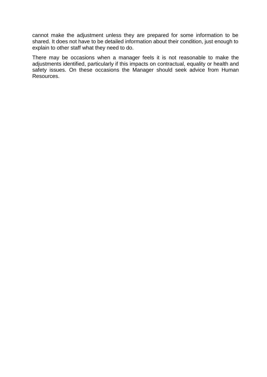cannot make the adjustment unless they are prepared for some information to be shared. It does not have to be detailed information about their condition, just enough to explain to other staff what they need to do.

There may be occasions when a manager feels it is not reasonable to make the adjustments identified, particularly if this impacts on contractual, equality or health and safety issues. On these occasions the Manager should seek advice from Human Resources.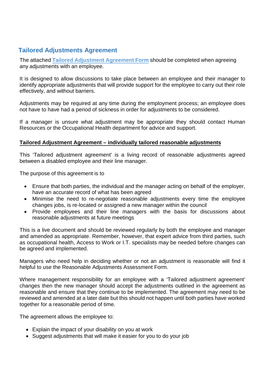# <span id="page-6-0"></span>**Tailored Adjustments Agreement**

The attached **Tailored Adjustment Agreement Form** should be completed when agreeing any adjustments with an employee.

It is designed to allow discussions to take place between an employee and their manager to identify appropriate adjustments that will provide support for the employee to carry out their role effectively, and without barriers.

Adjustments may be required at any time during the employment process; an employee does not have to have had a period of sickness in order for adjustments to be considered.

If a manager is unsure what adjustment may be appropriate they should contact Human Resources or the Occupational Health department for advice and support.

### **Tailored Adjustment Agreement – individually tailored reasonable adjustments**

This 'Tailored adjustment agreement' is a living record of reasonable adjustments agreed between a disabled employee and their line manager.

The purpose of this agreement is to

- Ensure that both parties, the individual and the manager acting on behalf of the employer, have an accurate record of what has been agreed
- Minimise the need to re-negotiate reasonable adjustments every time the employee changes jobs, is re-located or assigned a new manager within the council
- Provide employees and their line managers with the basis for discussions about reasonable adjustments at future meetings

This is a live document and should be reviewed regularly by both the employee and manager and amended as appropriate. Remember, however, that expert advice from third parties, such as occupational health, Access to Work or I.T. specialists may be needed before changes can be agreed and implemented.

Managers who need help in deciding whether or not an adjustment is reasonable will find it helpful to use the Reasonable Adjustments Assessment Form.

Where management responsibility for an employee with a 'Tailored adjustment agreement' changes then the new manager should accept the adjustments outlined in the agreement as reasonable and ensure that they continue to be implemented. The agreement may need to be reviewed and amended at a later date but this should not happen until both parties have worked together for a reasonable period of time.

The agreement allows the employee to:

- Explain the impact of your disability on you at work
- Suggest adjustments that will make it easier for you to do your job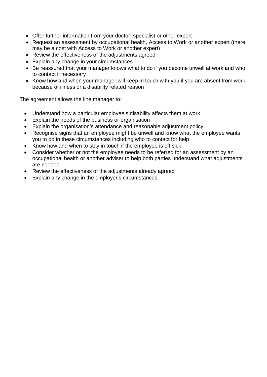- Offer further information from your doctor, specialist or other expert
- Request an assessment by occupational health, Access to Work or another expert (there may be a cost with Access to Work or another expert)
- Review the effectiveness of the adjustments agreed
- Explain any change in your circumstances
- Be reassured that your manager knows what to do if you become unwell at work and who to contact if necessary
- Know how and when your manager will keep in touch with you if you are absent from work because of illness or a disability related reason

The agreement allows the line manager to:

- Understand how a particular employee's disability affects them at work
- Explain the needs of the business or organisation
- Explain the organisation's attendance and reasonable adjustment policy
- Recognise signs that an employee might be unwell and know what the employee wants you to do in these circumstances including who to contact for help
- Know how and when to stay in touch if the employee is off sick
- Consider whether or not the employee needs to be referred for an assessment by an occupational health or another adviser to help both parties understand what adjustments are needed
- Review the effectiveness of the adjustments already agreed
- Explain any change in the employer's circumstances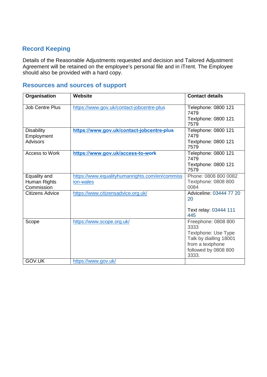# <span id="page-8-1"></span><span id="page-8-0"></span>**Record Keeping**

Details of the Reasonable Adjustments requested and decision and Tailored Adjustment Agreement will be retained on the employee's personal file and in iTrent. The Employee should also be provided with a hard copy.

# **Resources and sources of support**

| Organisation                    | <b>Website</b>                                 | <b>Contact details</b>                            |
|---------------------------------|------------------------------------------------|---------------------------------------------------|
| <b>Job Centre Plus</b>          | https://www.gov.uk/contact-jobcentre-plus      | Telephone: 0800 121<br>7479                       |
|                                 |                                                | Textphone: 0800 121<br>7579                       |
| <b>Disability</b><br>Employment | https://www.gov.uk/contact-jobcentre-plus      | Telephone: 0800 121<br>7479                       |
| <b>Advisors</b>                 |                                                | Textphone: 0800 121<br>7579                       |
| Access to Work                  | https://www.gov.uk/access-to-work              | Telephone: 0800 121<br>7479                       |
|                                 |                                                | Textphone: 0800 121<br>7579                       |
| Equality and                    | https://www.equalityhumanrights.com/en/commiss | Phone: 0808 800 0082                              |
| Human Rights<br>Commission      | ion-wales                                      | Textphone: 0808 800<br>0084                       |
| <b>Citizens Advice</b>          | https://www.citizensadvice.org.uk/             | Adviceline: 03444 77 20<br>20                     |
|                                 |                                                | Text relay: 03444 111<br>445                      |
| Scope                           | https://www.scope.org.uk/                      | Freephone: 0808 800<br>3333                       |
|                                 |                                                | Textphone: Use Type                               |
|                                 |                                                | Talk by dialling 18001                            |
|                                 |                                                | from a textphone<br>followed by 0808 800<br>3333. |
| <b>GOV.UK</b>                   | https://www.gov.uk/                            |                                                   |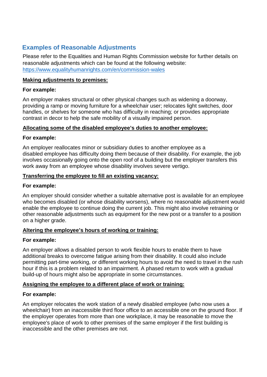# <span id="page-9-1"></span><span id="page-9-0"></span>**Examples of Reasonable Adjustments**

Please refer to the Equalities and Human Rights Commission website for further details on reasonable adjustments which can be found at the following website: <https://www.equalityhumanrights.com/en/commission-wales>

# **Making adjustments to premises:**

# **For example:**

An employer makes structural or other physical changes such as widening a doorway, providing a ramp or moving furniture for a wheelchair user; relocates light switches, door handles, or shelves for someone who has difficulty in reaching; or provides appropriate contrast in decor to help the safe mobility of a visually impaired person.

# **Allocating some of the disabled employee's duties to another employee:**

# **For example:**

An employer reallocates minor or subsidiary duties to another employee as a disabled employee has difficulty doing them because of their disability. For example, the job involves occasionally going onto the open roof of a building but the employer transfers this work away from an employee whose disability involves severe vertigo.

# **Transferring the employee to fill an existing vacancy:**

# **For example:**

An employer should consider whether a suitable alternative post is available for an employee who becomes disabled (or whose disability worsens), where no reasonable adjustment would enable the employee to continue doing the current job. This might also involve retraining or other reasonable adjustments such as equipment for the new post or a transfer to a position on a higher grade.

# **Altering the employee's hours of working or training:**

# **For example:**

An employer allows a disabled person to work flexible hours to enable them to have additional breaks to overcome fatigue arising from their disability. It could also include permitting part-time working, or different working hours to avoid the need to travel in the rush hour if this is a problem related to an impairment. A phased return to work with a gradual build-up of hours might also be appropriate in some circumstances.

# **Assigning the employee to a different place of work or training:**

# **For example:**

An employer relocates the work station of a newly disabled employee (who now uses a wheelchair) from an inaccessible third floor office to an accessible one on the ground floor. If the employer operates from more than one workplace, it may be reasonable to move the employee's place of work to other premises of the same employer if the first building is inaccessible and the other premises are not.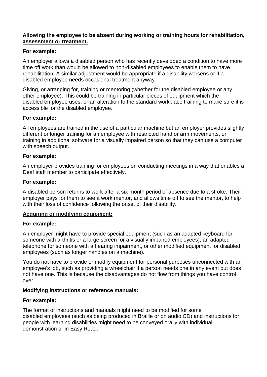### **Allowing the employee to be absent during working or training hours for rehabilitation, assessment or treatment.**

## **For example:**

An employer allows a disabled person who has recently developed a condition to have more time off work than would be allowed to non-disabled employees to enable them to have rehabilitation. A similar adjustment would be appropriate if a disability worsens or if a disabled employee needs occasional treatment anyway.

Giving, or arranging for, training or mentoring (whether for the disabled employee or any other employee). This could be training in particular pieces of equipment which the disabled employee uses, or an alteration to the standard workplace training to make sure it is accessible for the disabled employee.

## **For example:**

All employees are trained in the use of a particular machine but an employer provides slightly different or longer training for an employee with restricted hand or arm movements, or training in additional software for a visually impaired person so that they can use a computer with speech output.

## **For example:**

An employer provides training for employees on conducting meetings in a way that enables a Deaf staff member to participate effectively.

## **For example:**

A disabled person returns to work after a six-month period of absence due to a stroke. Their employer pays for them to see a work mentor, and allows time off to see the mentor, to help with their loss of confidence following the onset of their disability.

### **Acquiring or modifying equipment:**

### **For example:**

An employer might have to provide special equipment (such as an adapted keyboard for someone with arthritis or a large screen for a visually impaired employees), an adapted telephone for someone with a hearing impairment, or other modified equipment for disabled employees (such as longer handles on a machine).

You do not have to provide or modify equipment for personal purposes unconnected with an employee's job, such as providing a wheelchair if a person needs one in any event but does not have one. This is because the disadvantages do not flow from things you have control over.

# **Modifying instructions or reference manuals:**

### **For example:**

The format of instructions and manuals might need to be modified for some disabled employees (such as being produced in Braille or on audio CD) and instructions for people with learning disabilities might need to be conveyed orally with individual demonstration or in Easy Read.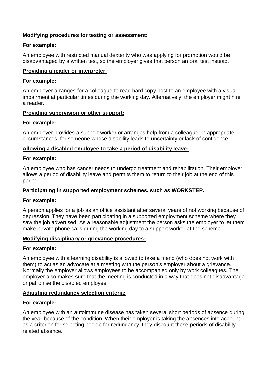## **Modifying procedures for testing or assessment:**

#### **For example:**

An employee with restricted manual dexterity who was applying for promotion would be disadvantaged by a written test, so the employer gives that person an oral test instead.

#### **Providing a reader or interpreter:**

#### **For example:**

An employer arranges for a colleague to read hard copy post to an employee with a visual impairment at particular times during the working day. Alternatively, the employer might hire a reader.

### **Providing supervision or other support:**

#### **For example:**

An employer provides a support worker or arranges help from a colleague, in appropriate circumstances, for someone whose disability leads to uncertainty or lack of confidence.

#### **Allowing a disabled employee to take a period of disability leave:**

#### **For example:**

An employee who has cancer needs to undergo treatment and rehabilitation. Their employer allows a period of disability leave and permits them to return to their job at the end of this period.

### **Participating in supported employment schemes, such as WORKSTEP.**

### **For example:**

A person applies for a job as an office assistant after several years of not working because of depression. They have been participating in a supported employment scheme where they saw the job advertised. As a reasonable adjustment the person asks the employer to let them make private phone calls during the working day to a support worker at the scheme.

### **Modifying disciplinary or grievance procedures:**

#### **For example:**

An employee with a learning disability is allowed to take a friend (who does not work with them) to act as an advocate at a meeting with the person's employer about a grievance. Normally the employer allows employees to be accompanied only by work colleagues. The employer also makes sure that the meeting is conducted in a way that does not disadvantage or patronise the disabled employee.

### **Adjusting redundancy selection criteria:**

#### **For example:**

An employee with an autoimmune disease has taken several short periods of absence during the year because of the condition. When their employer is taking the absences into account as a criterion for selecting people for redundancy, they discount these periods of disabilityrelated absence.